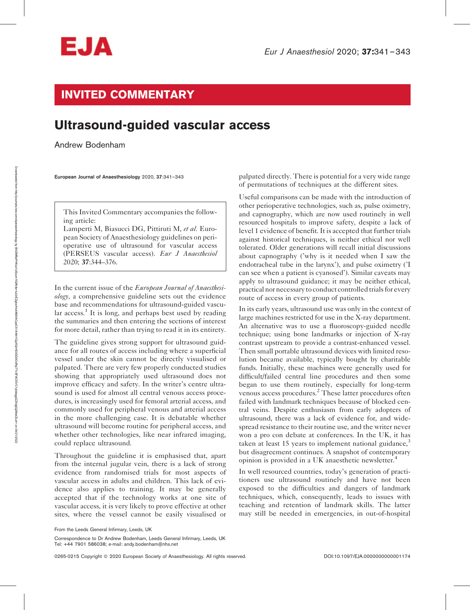

## INVITED COMMENTARY

## Ultrasound-guided vascular access

Andrew Bodenham

European Journal of Anaesthesiology 2020, 37:341–343

This Invited Commentary accompanies the following article:

Lamperti M, Biasucci DG, Pittiruti M, et al. European Society of Anaesthesiology guidelines on perioperative use of ultrasound for vascular access (PERSEUS vascular access). Eur J Anaesthesiol 2020; 37:344–376.

In the current issue of the European Journal of Anaesthesiology, a comprehensive guideline sets out the evidence base and recommendations for ultrasound-guided vascu- $\alpha$  lar access.<sup>1</sup> It is long, and perhaps best used by reading the summaries and then entering the sections of interest for more detail, rather than trying to read it in its entirety.

The guideline gives strong support for ultrasound guidance for all routes of access including where a superficial vessel under the skin cannot be directly visualised or palpated. There are very few properly conducted studies showing that appropriately used ultrasound does not improve efficacy and safety. In the writer's centre ultrasound is used for almost all central venous access procedures, is increasingly used for femoral arterial access, and commonly used for peripheral venous and arterial access in the more challenging case. It is debatable whether ultrasound will become routine for peripheral access, and whether other technologies, like near infrared imaging, could replace ultrasound.

Throughout the guideline it is emphasised that, apart from the internal jugular vein, there is a lack of strong evidence from randomised trials for most aspects of vascular access in adults and children. This lack of evidence also applies to training. It may be generally accepted that if the technology works at one site of vascular access, it is very likely to prove effective at other sites, where the vessel cannot be easily visualised or

palpated directly. There is potential for a very wide range of permutations of techniques at the different sites.

Useful comparisons can be made with the introduction of other perioperative technologies, such as, pulse oximetry, and capnography, which are now used routinely in well resourced hospitals to improve safety, despite a lack of level 1 evidence of benefit. It is accepted that further trials against historical techniques, is neither ethical nor well tolerated. Older generations will recall initial discussions about capnography ('why is it needed when I saw the endotracheal tube in the larynx'), and pulse oximetry ('I can see when a patient is cyanosed'). Similar caveats may apply to ultrasound guidance; it may be neither ethical, practical nor necessary to conduct controlled trials for every route of access in every group of patients.

In its early years, ultrasound use was only in the context of large machines restricted for use in the X-ray department. An alternative was to use a fluoroscopy-guided needle technique; using bone landmarks or injection of X-ray contrast upstream to provide a contrast-enhanced vessel. Then small portable ultrasound devices with limited resolution became available, typically bought by charitable funds. Initially, these machines were generally used for difficult/failed central line procedures and then some began to use them routinely, especially for long-term venous access procedures.<sup>2</sup> These latter procedures often failed with landmark techniques because of blocked central veins. Despite enthusiasm from early adopters of ultrasound, there was a lack of evidence for, and widespread resistance to their routine use, and the writer never won a pro con debate at conferences. In the UK, it has taken at least 15 years to implement national guidance, $3$ but disagreement continues. A snapshot of contemporary opinion is provided in a UK anaesthetic newsletter.4

In well resourced countries, today's generation of practitioners use ultrasound routinely and have not been exposed to the difficulties and dangers of landmark techniques, which, consequently, leads to issues with teaching and retention of landmark skills. The latter may still be needed in emergencies, in out-of-hospital

Correspondence to Dr Andrew Bodenham, Leeds General Infirmary, Leeds, UK Tel: +44 7901 586038; e-mail: [andy.bodenham@nhs.net](mailto:andy.bodenham@nhs.net)

0265-0215 Copyright - 2020 European Society of Anaesthesiology. All rights reserved. DOI[:10.1097/EJA.0000000000001174](http://dx.doi.org/10.1097/EJA.0000000000001174)

From the Leeds General Infirmary, Leeds, UK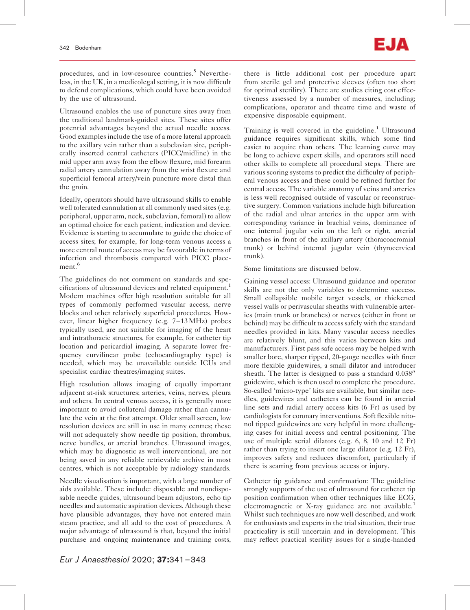

procedures, and in low-resource countries.<sup>5</sup> Nevertheless, in the UK, in a medicolegal setting, it is now difficult to defend complications, which could have been avoided by the use of ultrasound.

Ultrasound enables the use of puncture sites away from the traditional landmark-guided sites. These sites offer potential advantages beyond the actual needle access. Good examples include the use of a more lateral approach to the axillary vein rather than a subclavian site, peripherally inserted central catheters (PICC/midline) in the mid upper arm away from the elbow flexure, mid forearm radial artery cannulation away from the wrist flexure and superficial femoral artery/vein puncture more distal than the groin.

Ideally, operators should have ultrasound skills to enable well tolerated cannulation at all commonly used sites (e.g. peripheral, upper arm, neck, subclavian, femoral) to allow an optimal choice for each patient, indication and device. Evidence is starting to accumulate to guide the choice of access sites; for example, for long-term venous access a more central route of access may be favourable in terms of infection and thrombosis compared with PICC placement.<sup>6</sup>

The guidelines do not comment on standards and specifications of ultrasound devices and related equipment.<sup>1</sup> Modern machines offer high resolution suitable for all types of commonly performed vascular access, nerve blocks and other relatively superficial procedures. However, linear higher frequency (e.g. 7–13 MHz) probes typically used, are not suitable for imaging of the heart and intrathoracic structures, for example, for catheter tip location and pericardial imaging. A separate lower frequency curvilinear probe (echocardiography type) is needed, which may be unavailable outside ICUs and specialist cardiac theatres/imaging suites.

High resolution allows imaging of equally important adjacent at-risk structures; arteries, veins, nerves, pleura and others. In central venous access, it is generally more important to avoid collateral damage rather than cannulate the vein at the first attempt. Older small screen, low resolution devices are still in use in many centres; these will not adequately show needle tip position, thrombus, nerve bundles, or arterial branches. Ultrasound images, which may be diagnostic as well interventional, are not being saved in any reliable retrievable archive in most centres, which is not acceptable by radiology standards.

Needle visualisation is important, with a large number of aids available. These include: disposable and nondisposable needle guides, ultrasound beam adjustors, echo tip needles and automatic aspiration devices. Although these have plausible advantages, they have not entered main steam practice, and all add to the cost of procedures. A major advantage of ultrasound is that, beyond the initial purchase and ongoing maintenance and training costs,

there is little additional cost per procedure apart from sterile gel and protective sleeves (often too short for optimal sterility). There are studies citing cost effectiveness assessed by a number of measures, including; complications, operator and theatre time and waste of expensive disposable equipment.

Training is well covered in the guideline.<sup>1</sup> Ultrasound guidance requires significant skills, which some find easier to acquire than others. The learning curve may be long to achieve expert skills, and operators still need other skills to complete all procedural steps. There are various scoring systems to predict the difficulty of peripheral venous access and these could be refined further for central access. The variable anatomy of veins and arteries is less well recognised outside of vascular or reconstructive surgery. Common variations include high bifurcation of the radial and ulnar arteries in the upper arm with corresponding variance in brachial veins, dominance of one internal jugular vein on the left or right, arterial branches in front of the axillary artery (thoracoacromial trunk) or behind internal jugular vein (thyrocervical trunk).

Some limitations are discussed below.

Gaining vessel access: Ultrasound guidance and operator skills are not the only variables to determine success. Small collapsible mobile target vessels, or thickened vessel walls or perivascular sheaths with vulnerable arteries (main trunk or branches) or nerves (either in front or behind) may be difficult to access safely with the standard needles provided in kits. Many vascular access needles are relatively blunt, and this varies between kits and manufacturers. First pass safe access may be helped with smaller bore, sharper tipped, 20-gauge needles with finer more flexible guidewires, a small dilator and introducer sheath. The latter is designed to pass a standard 0.038" guidewire, which is then used to complete the procedure. So-called 'micro-type' kits are available, but similar needles, guidewires and catheters can be found in arterial line sets and radial artery access kits (6 Fr) as used by cardiologists for coronary interventions. Soft flexible nitonol tipped guidewires are very helpful in more challenging cases for initial access and central positioning. The use of multiple serial dilators (e.g. 6, 8, 10 and 12 Fr) rather than trying to insert one large dilator (e.g. 12 Fr), improves safety and reduces discomfort, particularly if there is scarring from previous access or injury.

Catheter tip guidance and confirmation: The guideline strongly supports of the use of ultrasound for catheter tip position confirmation when other techniques like ECG, electromagnetic or  $X$ -ray guidance are not available.<sup>1</sup> Whilst such techniques are now well described, and work for enthusiasts and experts in the trial situation, their true practicality is still uncertain and in development. This may reflect practical sterility issues for a single-handed